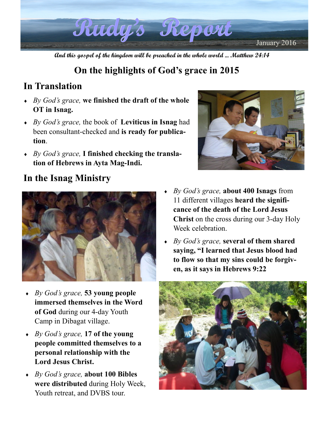

**And this gospel of the kingdom will be preached in the whole world ... Matthew 24:14** 

# **On the highlights of God's grace in 2015**

## **In Translation**

- ♦ *By God's grace,* **we finished the draft of the whole OT in Isnag.**
- ♦ *By God's grace,* the book of **Leviticus in Isnag** had been consultant-checked and **is ready for publication**.
- ♦ *By God's grace,* **I finished checking the translation of Hebrews in Ayta Mag-Indi.**



### **In the Isnag Ministry**



- ♦ *By God's grace,* **53 young people immersed themselves in the Word of God** during our 4-day Youth Camp in Dibagat village.
- ♦ *By God's grace,* **17 of the young people committed themselves to a personal relationship with the Lord Jesus Christ.**
- ♦ *By God's grace,* **about 100 Bibles were distributed** during Holy Week, Youth retreat, and DVBS tour.
- ♦ *By God's grace,* **about 400 Isnags** from 11 different villages **heard the significance of the death of the Lord Jesus Christ** on the cross during our 3-day Holy Week celebration
- ♦ *By God's grace,* **several of them shared saying, "I learned that Jesus blood had to flow so that my sins could be forgiven, as it says in Hebrews 9:22**

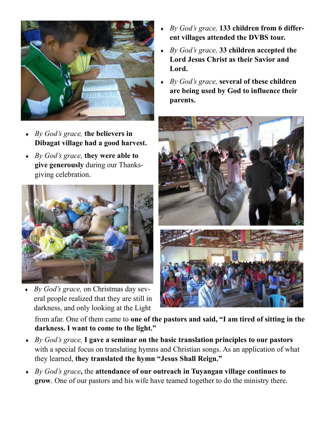

- ♦ *By God's grace,* **the believers in Dibagat village had a good harvest.**
- ♦ *By God's grace,* **they were able to give generously** during our Thanksgiving celebration.



♦ *By God's grace,* on Christmas day several people realized that they are still in darkness, and only looking at the Light

- By God's grace, **133 children from 6 different villages attended the DVBS tour.**
- ♦ *By God's grace,* **33 children accepted the Lord Jesus Christ as their Savior and Lord.**
- ♦ *By God's grace,* **several of these children are being used by God to influence their parents.**



from afar. One of them came to **one of the pastors and said, "I am tired of sitting in the darkness. I want to come to the light."** 

- ♦ *By God's grace,* **I gave a seminar on the basic translation principles to our pastors**  with a special focus on translating hymns and Christian songs. As an application of what they learned, **they translated the hymn "Jesus Shall Reign."**
- ♦ *By God's grace***,** the **attendance of our outreach in Tuyangan village continues to grow**. One of our pastors and his wife have teamed together to do the ministry there.